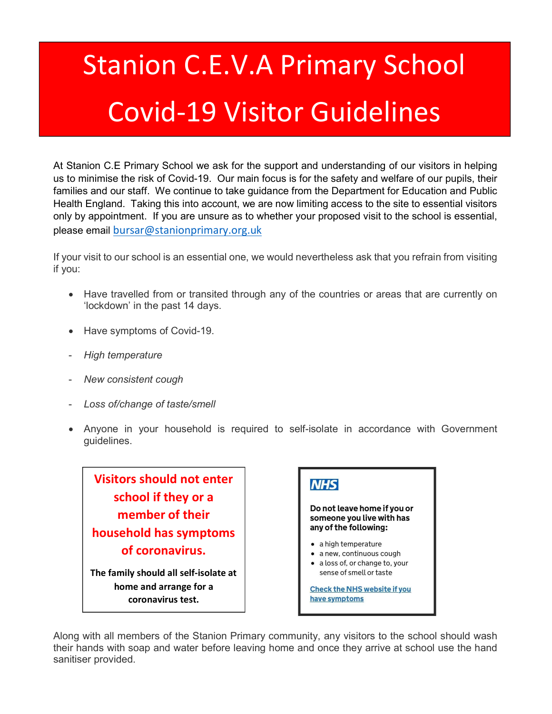## Stanion C.E.V.A Primary School Covid-19 Visitor Guidelines

At Stanion C.E Primary School we ask for the support and understanding of our visitors in helping us to minimise the risk of Covid-19. Our main focus is for the safety and welfare of our pupils, their families and our staff. We continue to take guidance from the Department for Education and Public Health England. Taking this into account, we are now limiting access to the site to essential visitors only by appointment. If you are unsure as to whether your proposed visit to the school is essential, please email bursar@stanionprimary.org.uk

If your visit to our school is an essential one, we would nevertheless ask that you refrain from visiting if you:

- Have travelled from or transited through any of the countries or areas that are currently on 'lockdown' in the past 14 days.
- Have symptoms of Covid-19.
- **High temperature**
- New consistent cough
- Loss of/change of taste/smell
- Anyone in your household is required to self-isolate in accordance with Government guidelines.

Visitors should not enter school if they or a member of their household has symptoms of coronavirus.

The family should all self-isolate at home and arrange for a coronavirus test.



Along with all members of the Stanion Primary community, any visitors to the school should wash their hands with soap and water before leaving home and once they arrive at school use the hand sanitiser provided.